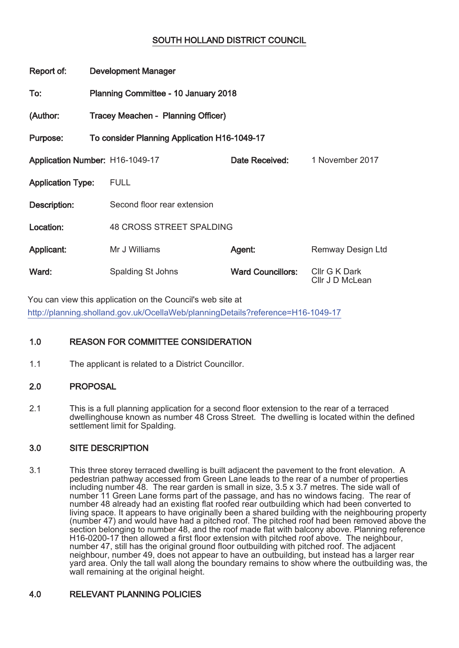# SOUTH HOLLAND DISTRICT COUNCIL

| Report of:                      | <b>Development Manager</b>                   |                          |                                  |
|---------------------------------|----------------------------------------------|--------------------------|----------------------------------|
| To:                             | Planning Committee - 10 January 2018         |                          |                                  |
| (Author:                        | Tracey Meachen - Planning Officer)           |                          |                                  |
| Purpose:                        | To consider Planning Application H16-1049-17 |                          |                                  |
| Application Number: H16-1049-17 |                                              | Date Received:           | 1 November 2017                  |
| <b>Application Type:</b>        | <b>FULL</b>                                  |                          |                                  |
| Description:                    | Second floor rear extension                  |                          |                                  |
| Location:                       | <b>48 CROSS STREET SPALDING</b>              |                          |                                  |
| <b>Applicant:</b>               | Mr J Williams                                | Agent:                   | Remway Design Ltd                |
| Ward:                           | Spalding St Johns                            | <b>Ward Councillors:</b> | Cllr G K Dark<br>Cllr J D McLean |

You can view this application on the Council's web site at http://planning.sholland.gov.uk/OcellaWeb/planningDetails?reference=H16-1049-17

# 1.0 REASON FOR COMMITTEE CONSIDERATION

1.1 The applicant is related to a District Councillor.

## 2.0 PROPOSAL

2.1 This is a full planning application for a second floor extension to the rear of a terraced dwellinghouse known as number 48 Cross Street. The dwelling is located within the defined settlement limit for Spalding.

## 3.0 SITE DESCRIPTION

3.1 This three storey terraced dwelling is built adjacent the pavement to the front elevation. A pedestrian pathway accessed from Green Lane leads to the rear of a number of properties including number 48. The rear garden is small in size, 3.5 x 3.7 metres. The side wall of number 11 Green Lane forms part of the passage, and has no windows facing. The rear of number 48 already had an existing flat roofed rear outbuilding which had been converted to living space. It appears to have originally been a shared building with the neighbouring property (number 47) and would have had a pitched roof. The pitched roof had been removed above the section belonging to number 48, and the roof made flat with balcony above. Planning reference H16-0200-17 then allowed a first floor extension with pitched roof above. The neighbour, number 47, still has the original ground floor outbuilding with pitched roof. The adjacent neighbour, number 49, does not appear to have an outbuilding, but instead has a larger rear yard area. Only the tall wall along the boundary remains to show where the outbuilding was, the wall remaining at the original height.

## 4.0 RELEVANT PLANNING POLICIES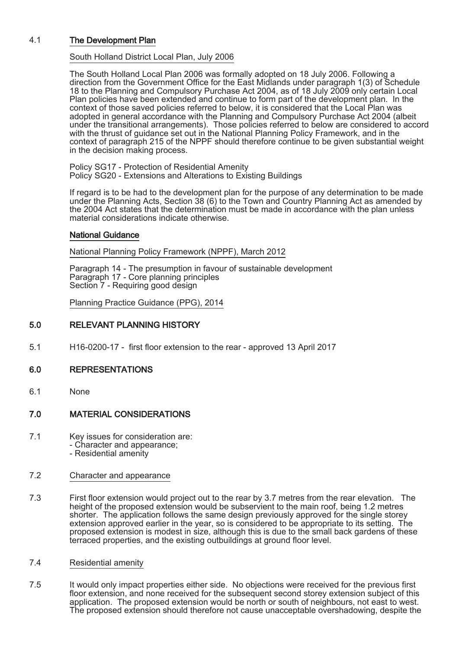### 4.1 The Development Plan

#### South Holland District Local Plan, July 2006

The South Holland Local Plan 2006 was formally adopted on 18 July 2006. Following a direction from the Government Office for the East Midlands under paragraph 1(3) of Schedule 18 to the Planning and Compulsory Purchase Act 2004, as of 18 July 2009 only certain Local Plan policies have been extended and continue to form part of the development plan. In the context of those saved policies referred to below, it is considered that the Local Plan was adopted in general accordance with the Planning and Compulsory Purchase Act 2004 (albeit under the transitional arrangements). Those policies referred to below are considered to accord with the thrust of guidance set out in the National Planning Policy Framework, and in the context of paragraph 215 of the NPPF should therefore continue to be given substantial weight in the decision making process.

Policy SG17 - Protection of Residential Amenity Policy SG20 - Extensions and Alterations to Existing Buildings

If regard is to be had to the development plan for the purpose of any determination to be made under the Planning Acts, Section 38 (6) to the Town and Country Planning Act as amended by the 2004 Act states that the determination must be made in accordance with the plan unless material considerations indicate otherwise.

#### National Guidance

National Planning Policy Framework (NPPF), March 2012

Paragraph 14 - The presumption in favour of sustainable development Paragraph 17 - Core planning principles Section 7 - Requiring good design

Planning Practice Guidance (PPG), 2014

## 5.0 RELEVANT PLANNING HISTORY

5.1 H16-0200-17 - first floor extension to the rear - approved 13 April 2017

### 6.0 REPRESENTATIONS

6.1 None

### 7.0 MATERIAL CONSIDERATIONS

- 7.1 Key issues for consideration are: - Character and appearance;
	- Residential amenity

### 7.2 Character and appearance

- 7.3 First floor extension would project out to the rear by 3.7 metres from the rear elevation. The height of the proposed extension would be subservient to the main roof, being 1.2 metres shorter. The application follows the same design previously approved for the single storey extension approved earlier in the year, so is considered to be appropriate to its setting. The proposed extension is modest in size, although this is due to the small back gardens of these terraced properties, and the existing outbuildings at ground floor level.
- 7.4 Residential amenity
- 7.5 It would only impact properties either side. No objections were received for the previous first floor extension, and none received for the subsequent second storey extension subject of this application. The proposed extension would be north or south of neighbours, not east to west. The proposed extension should therefore not cause unacceptable overshadowing, despite the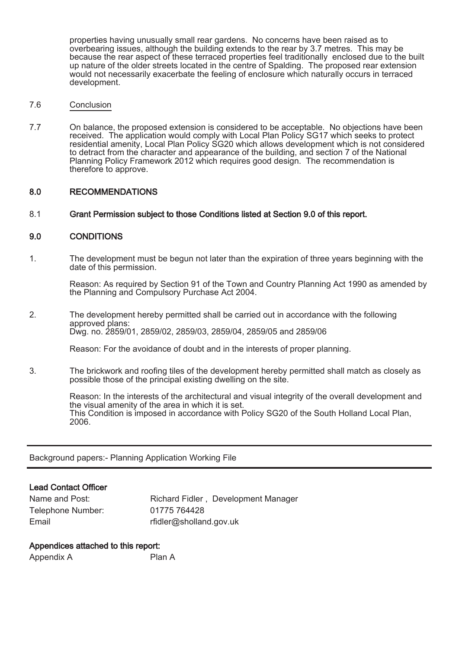properties having unusually small rear gardens. No concerns have been raised as to overbearing issues, although the building extends to the rear by 3.7 metres. This may be because the rear aspect of these terraced properties feel traditionally enclosed due to the built up nature of the older streets located in the centre of Spalding. The proposed rear extension would not necessarily exacerbate the feeling of enclosure which naturally occurs in terraced development.

#### 7.6 Conclusion

7.7 On balance, the proposed extension is considered to be acceptable. No objections have been received. The application would comply with Local Plan Policy SG17 which seeks to protect residential amenity, Local Plan Policy SG20 which allows development which is not considered to detract from the character and appearance of the building, and section 7 of the National Planning Policy Framework 2012 which requires good design. The recommendation is therefore to approve.

#### 8.0 RECOMMENDATIONS

#### 8.1 Grant Permission subject to those Conditions listed at Section 9.0 of this report.

#### 9.0 CONDITIONS

1. The development must be begun not later than the expiration of three years beginning with the date of this permission.

Reason: As required by Section 91 of the Town and Country Planning Act 1990 as amended by the Planning and Compulsory Purchase Act 2004.

2. The development hereby permitted shall be carried out in accordance with the following approved plans: Dwg. no. 2859/01, 2859/02, 2859/03, 2859/04, 2859/05 and 2859/06

Reason: For the avoidance of doubt and in the interests of proper planning.

3. The brickwork and roofing tiles of the development hereby permitted shall match as closely as possible those of the principal existing dwelling on the site.

> Reason: In the interests of the architectural and visual integrity of the overall development and the visual amenity of the area in which it is set. This Condition is imposed in accordance with Policy SG20 of the South Holland Local Plan, 2006.

Background papers:- Planning Application Working File

## Lead Contact Officer

| Name and Post:    | Richard Fidler, Development Manager |
|-------------------|-------------------------------------|
| Telephone Number: | 01775 764428                        |
| Email             | rfidler@sholland.gov.uk             |

### Appendices attached to this report:

| Appendix A<br>Plan A |
|----------------------|
|----------------------|